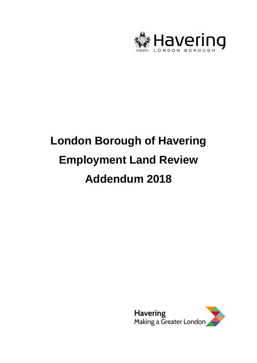

# **London Borough of Havering Employment Land Review Addendum 2018**

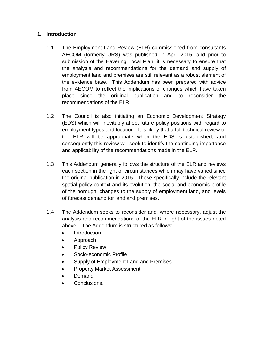## **1. Introduction**

- 1.1 The Employment Land Review (ELR) commissioned from consultants AECOM (formerly URS) was published in April 2015, and prior to submission of the Havering Local Plan, it is necessary to ensure that the analysis and recommendations for the demand and supply of employment land and premises are still relevant as a robust element of the evidence base. This Addendum has been prepared with advice from AECOM to reflect the implications of changes which have taken place since the original publication and to reconsider the recommendations of the ELR.
- 1.2 The Council is also initiating an Economic Development Strategy (EDS) which will inevitably affect future policy positions with regard to employment types and location. It is likely that a full technical review of the ELR will be appropriate when the EDS is established, and consequently this review will seek to identify the continuing importance and applicability of the recommendations made in the ELR.
- 1.3 This Addendum generally follows the structure of the ELR and reviews each section in the light of circumstances which may have varied since the original publication in 2015. These specifically include the relevant spatial policy context and its evolution, the social and economic profile of the borough, changes to the supply of employment land, and levels of forecast demand for land and premises.
- 1.4 The Addendum seeks to reconsider and, where necessary, adjust the analysis and recommendations of the ELR in light of the issues noted above.. The Addendum is structured as follows:
	- **Introduction**
	- Approach
	- Policy Review
	- Socio-economic Profile
	- Supply of Employment Land and Premises
	- Property Market Assessment
	- Demand
	- Conclusions.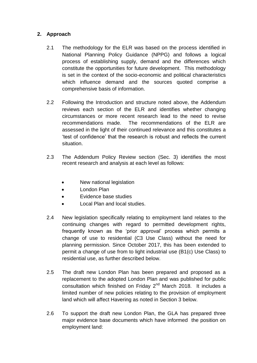# **2. Approach**

- 2.1 The methodology for the ELR was based on the process identified in National Planning Policy Guidance (NPPG) and follows a logical process of establishing supply, demand and the differences which constitute the opportunities for future development. This methodology is set in the context of the socio-economic and political characteristics which influence demand and the sources quoted comprise a comprehensive basis of information.
- 2.2 Following the Introduction and structure noted above, the Addendum reviews each section of the ELR and identifies whether changing circumstances or more recent research lead to the need to revise recommendations made. The recommendations of the ELR are assessed in the light of their continued relevance and this constitutes a 'test of confidence' that the research is robust and reflects the current situation.
- 2.3 The Addendum Policy Review section (Sec. 3) identifies the most recent research and analysis at each level as follows:
	- New national legislation
	- London Plan
	- Evidence base studies
	- Local Plan and local studies.
- 2.4 New legislation specifically relating to employment land relates to the continuing changes with regard to permitted development rights, frequently known as the 'prior approval' process which permits a change of use to residential (C3 Use Class) without the need for planning permission. Since October 2017, this has been extended to permit a change of use from to light industrial use (B1(c) Use Class) to residential use, as further described below.
- 2.5 The draft new London Plan has been prepared and proposed as a replacement to the adopted London Plan and was published for public consultation which finished on Friday 2<sup>nd</sup> March 2018. It includes a limited number of new policies relating to the provision of employment land which will affect Havering as noted in Section 3 below.
- 2.6 To support the draft new London Plan, the GLA has prepared three major evidence base documents which have informed the position on employment land: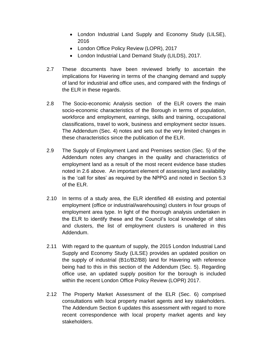- London Industrial Land Supply and Economy Study (LILSE), 2016
- London Office Policy Review (LOPR), 2017
- London Industrial Land Demand Study (LILDS), 2017.
- 2.7 These documents have been reviewed briefly to ascertain the implications for Havering in terms of the changing demand and supply of land for industrial and office uses, and compared with the findings of the ELR in these regards.
- 2.8 The Socio-economic Analysis section of the ELR covers the main socio-economic characteristics of the Borough in terms of population, workforce and employment, earnings, skills and training, occupational classifications, travel to work, business and employment sector issues. The Addendum (Sec. 4) notes and sets out the very limited changes in these characteristics since the publication of the ELR.
- 2.9 The Supply of Employment Land and Premises section (Sec. 5) of the Addendum notes any changes in the quality and characteristics of employment land as a result of the most recent evidence base studies noted in 2.6 above. An important element of assessing land availability is the 'call for sites' as required by the NPPG and noted in Section 5.3 of the ELR.
- 2.10 In terms of a study area, the ELR identified 48 existing and potential employment (office or industrial/warehousing) clusters in four groups of employment area type. In light of the thorough analysis undertaken in the ELR to identify these and the Council's local knowledge of sites and clusters, the list of employment clusters is unaltered in this Addendum.
- 2.11 With regard to the quantum of supply, the 2015 London Industrial Land Supply and Economy Study (LILSE) provides an updated position on the supply of industrial (B1c/B2/B8) land for Havering with reference being had to this in this section of the Addendum (Sec. 5). Regarding office use, an updated supply position for the borough is included within the recent London Office Policy Review (LOPR) 2017.
- 2.12 The Property Market Assessment of the ELR (Sec. 6) comprised consultations with local property market agents and key stakeholders. The Addendum Section 6 updates this assessment with regard to more recent correspondence with local property market agents and key stakeholders.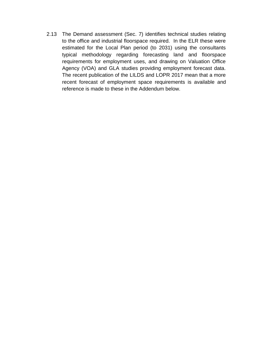2.13 The Demand assessment (Sec. 7) identifies technical studies relating to the office and industrial floorspace required. In the ELR these were estimated for the Local Plan period (to 2031) using the consultants typical methodology regarding forecasting land and floorspace requirements for employment uses, and drawing on Valuation Office Agency (VOA) and GLA studies providing employment forecast data. The recent publication of the LILDS and LOPR 2017 mean that a more recent forecast of employment space requirements is available and reference is made to these in the Addendum below.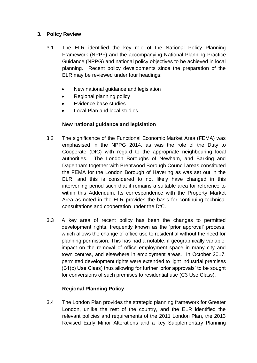## **3. Policy Review**

- 3.1 The ELR identified the key role of the National Policy Planning Framework (NPPF) and the accompanying National Planning Practice Guidance (NPPG) and national policy objectives to be achieved in local planning. Recent policy developments since the preparation of the ELR may be reviewed under four headings:
	- New national quidance and legislation
	- Regional planning policy
	- Evidence base studies
	- Local Plan and local studies.

#### **New national guidance and legislation**

- 3.2 The significance of the Functional Economic Market Area (FEMA) was emphasised in the NPPG 2014, as was the role of the Duty to Cooperate (DtC) with regard to the appropriate neighbouring local authorities. The London Boroughs of Newham, and Barking and Dagenham together with Brentwood Borough Council areas constituted the FEMA for the London Borough of Havering as was set out in the ELR, and this is considered to not likely have changed in this intervening period such that it remains a suitable area for reference to within this Addendum. Its correspondence with the Property Market Area as noted in the ELR provides the basis for continuing technical consultations and cooperation under the DtC.
- 3.3 A key area of recent policy has been the changes to permitted development rights, frequently known as the 'prior approval' process, which allows the change of office use to residential without the need for planning permission. This has had a notable, if geographically variable, impact on the removal of office employment space in many city and town centres, and elsewhere in employment areas. In October 2017, permitted development rights were extended to light industrial premises (B1(c) Use Class) thus allowing for further 'prior approvals' to be sought for conversions of such premises to residential use (C3 Use Class).

#### **Regional Planning Policy**

3.4 The London Plan provides the strategic planning framework for Greater London, unlike the rest of the country, and the ELR identified the relevant policies and requirements of the 2011 London Plan, the 2013 Revised Early Minor Alterations and a key Supplementary Planning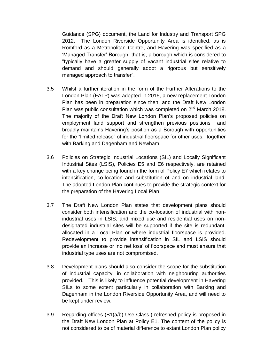Guidance (SPG) document, the Land for Industry and Transport SPG 2012. The London Riverside Opportunity Area is identified, as is Romford as a Metropolitan Centre, and Havering was specified as a 'Managed Transfer' Borough, that is, a borough which is considered to "typically have a greater supply of vacant industrial sites relative to demand and should generally adopt a rigorous but sensitively managed approach to transfer".

- 3.5 Whilst a further iteration in the form of the Further Alterations to the London Plan (FALP) was adopted in 2015, a new replacement London Plan has been in preparation since then, and the Draft New London Plan was public consultation which was completed on 2<sup>nd</sup> March 2018. The majority of the Draft New London Plan's proposed policies on employment land support and strengthen previous positions and broadly maintains Havering's position as a Borough with opportunities for the "limited release" of industrial floorspace for other uses, together with Barking and Dagenham and Newham.
- 3.6 Policies on Strategic Industrial Locations (SIL) and Locally Significant Industrial Sites (LSIS), Policies E5 and E6 respectively, are retained with a key change being found in the form of Policy E7 which relates to intensification, co-location and substitution of and on industrial land. The adopted London Plan continues to provide the strategic context for the preparation of the Havering Local Plan.
- 3.7 The Draft New London Plan states that development plans should consider both intensification and the co-location of industrial with nonindustrial uses in LSIS, and mixed use and residential uses on nondesignated industrial sites will be supported if the site is redundant, allocated in a Local Plan or where industrial floorspace is provided. Redevelopment to provide intensification in SIL and LSIS should provide an increase or 'no net loss' of floorspace and must ensure that industrial type uses are not compromised.
- 3.8 Development plans should also consider the scope for the substitution of industrial capacity, in collaboration with neighbouring authorities provided. This is likely to influence potential development in Havering SILs to some extent particularly in collaboration with Barking and Dagenham in the London Riverside Opportunity Area, and will need to be kept under review.
- 3.9 Regarding offices (B1(a/b) Use Class,) refreshed policy is proposed in the Draft New London Plan at Policy E1. The content of the policy is not considered to be of material difference to extant London Plan policy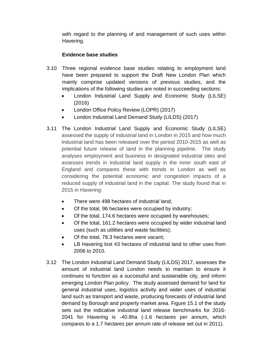with regard to the planning of and management of such uses within Havering.

#### **Evidence base studies**

- 3.10 Three regional evidence base studies relating to employment land have been prepared to support the Draft New London Plan which mainly comprise updated versions of previous studies, and the implications of the following studies are noted in succeeding sections:
	- London Industrial Land Supply and Economic Study (LILSE) (2016)
	- London Office Policy Review (LOPR) (2017)
	- London Industrial Land Demand Study (LILDS) (2017)
- 3.11 The London Industrial Land Supply and Economic Study (LILSE) assessed the supply of industrial land in London in 2015 and how much industrial land has been released over the period 2010-2015 as well as potential future release of land in the planning pipeline. The study analyses employment and business in designated industrial sites and assesses trends in industrial land supply in the inner south east of England and compares these with trends in London as well as considering the potential economic and congestion impacts of a reduced supply of industrial land in the capital. The study found that in 2015 in Havering:
	- There were 498 hectares of industrial land;
	- Of the total, 96 hectares were occupied by industry;
	- Of the total, 174.6 hectares were occupied by warehouses;
	- Of the total, 161.2 hectares were occupied by wider industrial land uses (such as utilities and waste facilities);
	- Of the total, 78.3 hectares were vacant;
	- LB Havering lost 43 hectares of industrial land to other uses from 2006 to 2010.
- 3.12 The London Industrial Land Demand Study (LILDS) 2017, assesses the amount of industrial land London needs to maintain to ensure it continues to function as a successful and sustainable city, and inform emerging London Plan policy. The study assessed demand for land for general industrial uses, logistics activity and wider uses of industrial land such as transport and waste, producing forecasts of industrial land demand by Borough and property market area. Figure 15.1 of the study sets out the indicative industrial land release benchmarks for 2016- 2041 for Havering is -40.8ha (-1.6 hectares per annum, which compares to a 1.7 hectares per annum rate of release set out in 2011).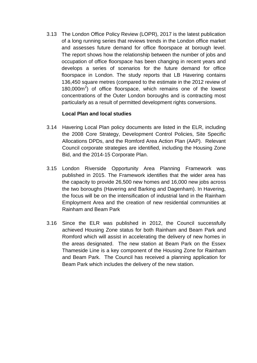3.13 The London Office Policy Review (LOPR), 2017 is the latest publication of a long running series that reviews trends in the London office market and assesses future demand for office floorspace at borough level. The report shows how the relationship between the number of jobs and occupation of office floorspace has been changing in recent years and develops a series of scenarios for the future demand for office floorspace in London. The study reports that LB Havering contains 136,450 square metres (compared to the estimate in the 2012 review of  $180,000m^2$ ) of office floorspace, which remains one of the lowest concentrations of the Outer London boroughs and is contracting most particularly as a result of permitted development rights conversions.

#### **Local Plan and local studies**

- 3.14 Havering Local Plan policy documents are listed in the ELR, including the 2008 Core Strategy, Development Control Policies, Site Specific Allocations DPDs, and the Romford Area Action Plan (AAP). Relevant Council corporate strategies are identified, including the Housing Zone Bid, and the 2014-15 Corporate Plan.
- 3.15 London Riverside Opportunity Area Planning Framework was published in 2015. The Framework identifies that the wider area has the capacity to provide 26,500 new homes and 16,000 new jobs across the two boroughs (Havering and Barking and Dagenham). In Havering, the focus will be on the intensification of industrial land in the Rainham Employment Area and the creation of new residential communities at Rainham and Beam Park
- 3.16 Since the ELR was published in 2012, the Council successfully achieved Housing Zone status for both Rainham and Beam Park and Romford which will assist in accelerating the delivery of new homes in the areas designated. The new station at Beam Park on the Essex Thameside Line is a key component of the Housing Zone for Rainham and Beam Park. The Council has received a planning application for Beam Park which includes the delivery of the new station.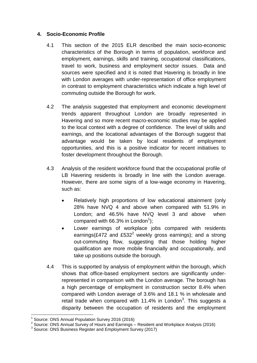#### **4. Socio-Economic Profile**

- 4.1 This section of the 2015 ELR described the main socio-economic characteristics of the Borough in terms of population, workforce and employment, earnings, skills and training, occupational classifications, travel to work, business and employment sector issues. Data and sources were specified and it is noted that Havering is broadly in line with London averages with under-representation of office employment in contrast to employment characteristics which indicate a high level of commuting outside the Borough for work.
- 4.2 The analysis suggested that employment and economic development trends apparent throughout London are broadly represented in Havering and so more recent macro-economic studies may be applied to the local context with a degree of confidence. The level of skills and earnings, and the locational advantages of the Borough suggest that advantage would be taken by local residents of employment opportunities, and this is a positive indicator for recent initiatives to foster development throughout the Borough.
- 4.3 Analysis of the resident workforce found that the occupational profile of LB Havering residents is broadly in line with the London average. However, there are some signs of a low-wage economy in Havering, such as:
	- Relatively high proportions of low educational attainment (only 28% have NVQ 4 and above when compared with 51.9% in London; and 46.5% have NVQ level 3 and above when compared with 66.3% in London<sup>1</sup>);
	- Lower earnings of workplace jobs compared with residents earnings(£472 and £532<sup>2</sup> weekly gross earnings); and a strong out-commuting flow, suggesting that those holding higher qualification are more mobile financially and occupationally, and take up positions outside the borough.
- 4.4 This is supported by analysis of employment within the borough, which shows that office-based employment sectors are significantly underrepresented in comparison with the London average. The borough has a high percentage of employment in construction sector 8.4% when compared with London average of 3.6% and 18.1 % in wholesale and retail trade when compared with 11.4% in London<sup>3</sup>. This suggests a disparity between the occupation of residents and the employment

 1 Source: ONS Annual Population Survey 2016 (2016)

 $2$  Source: ONS Annual Survey of Hours and Earnings  $-$  Resident and Workplace Analysis (2016)

<sup>&</sup>lt;sup>3</sup> Source: ONS Business Register and Employment Survey (2017)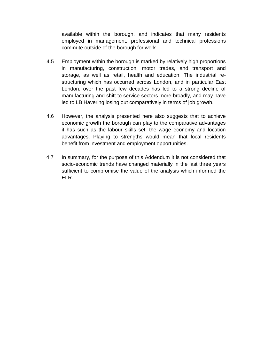available within the borough, and indicates that many residents employed in management, professional and technical professions commute outside of the borough for work.

- 4.5 Employment within the borough is marked by relatively high proportions in manufacturing, construction, motor trades, and transport and storage, as well as retail, health and education. The industrial restructuring which has occurred across London, and in particular East London, over the past few decades has led to a strong decline of manufacturing and shift to service sectors more broadly, and may have led to LB Havering losing out comparatively in terms of job growth.
- 4.6 However, the analysis presented here also suggests that to achieve economic growth the borough can play to the comparative advantages it has such as the labour skills set, the wage economy and location advantages. Playing to strengths would mean that local residents benefit from investment and employment opportunities.
- 4.7 In summary, for the purpose of this Addendum it is not considered that socio-economic trends have changed materially in the last three years sufficient to compromise the value of the analysis which informed the ELR.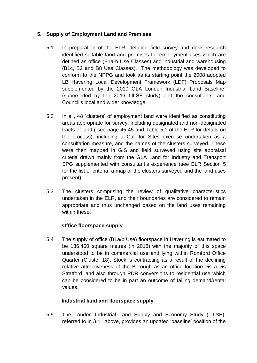# **5. Supply of Employment Land and Premises**

- 5.1 In preparation of the ELR, detailed field survey and desk research identified suitable land and premises for employment uses which are defined as office (B1a-b Use Classes) and industrial and warehousing (B1c, B2 and B8 Use Classes). The methodology was developed to conform to the NPPG and took as its starting point the 2008 adopted LB Havering Local Development Framework (LDF) Proposals Map supplemented by the 2010 GLA London Industrial Land Baseline, (superseded by the 2016 LILSE study) and the consultants' and Council's local and wider knowledge.
- 5.2 In all, 48 'clusters' of employment land were identified as constituting areas appropriate for survey, including designated and non-designated tracts of land ( see page 45-45 and Table 5.1 of the ELR for details on the process), including a Call for Sites exercise undertaken as a consultation measure, and the names of the clusters surveyed. These were then mapped in GIS and field surveyed using site appraisal criteria drawn mainly from the GLA Land for Industry and Transport SPG supplemented with consultant's experience (see ELR Section 5 for the list of criteria, a map of the clusters surveyed and the land uses present).
- 5.3 The clusters comprising the review of qualitative characteristics undertaken in the ELR, and their boundaries are considered to remain appropriate and thus unchanged based on the land uses remaining within these.

# **Office floorspace supply**

5.4 The supply of office (B1a/b Use) floorspace in Havering is estimated to be 136,450 square metres (in 2018) with the majority of this space understood to be in commercial use and lying within Romford Office Quarter (Cluster 18). Stock is contracting as a result of the declining relative attractiveness of the Borough as an office location vis a vis Stratford, and also through PDR conversions to residential use which can be considered to be in part an outcome of falling demand/rental values.

# **Industrial land and floorspace supply**

5.5 The London Industrial Land Supply and Economy Study (LILSE), referred to in 3.11 above, provides an updated 'baseline' position of the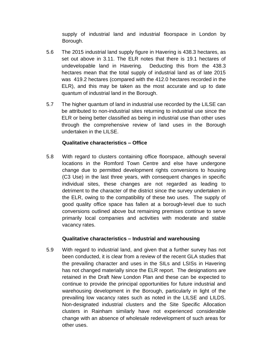supply of industrial land and industrial floorspace in London by Borough.

- 5.6 The 2015 industrial land supply figure in Havering is 438.3 hectares, as set out above in 3.11. The ELR notes that there is 19.1 hectares of undevelopable land in Havering. Deducting this from the 438.3 hectares mean that the total supply of industrial land as of late 2015 was 419.2 hectares (compared with the 412.0 hectares recorded in the ELR), and this may be taken as the most accurate and up to date quantum of industrial land in the Borough.
- 5.7 The higher quantum of land in industrial use recorded by the LILSE can be attributed to non-industrial sites returning to industrial use since the ELR or being better classified as being in industrial use than other uses through the comprehensive review of land uses in the Borough undertaken in the LILSE.

#### **Qualitative characteristics – Office**

5.8 With regard to clusters containing office floorspace, although several locations in the Romford Town Centre and else have undergone change due to permitted development rights conversions to housing (C3 Use) in the last three years, with consequent changes in specific individual sites, these changes are not regarded as leading to detriment to the character of the district since the survey undertaken in the ELR, owing to the compatibility of these two uses. The supply of good quality office space has fallen at a borough-level due to such conversions outlined above but remaining premises continue to serve primarily local companies and activities with moderate and stable vacancy rates.

#### **Qualitative characteristics – Industrial and warehousing**

5.9 With regard to industrial land, and given that a further survey has not been conducted, it is clear from a review of the recent GLA studies that the prevailing character and uses in the SILs and LSISs in Havering has not changed materially since the ELR report. The designations are retained in the Draft New London Plan and these can be expected to continue to provide the principal opportunities for future industrial and warehousing development in the Borough, particularly in light of the prevailing low vacancy rates such as noted in the LILSE and LILDS. Non-designated industrial clusters and the Site Specific Allocation clusters in Rainham similarly have not experienced considerable change with an absence of wholesale redevelopment of such areas for other uses.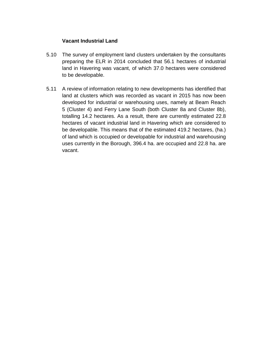#### **Vacant Industrial Land**

- 5.10 The survey of employment land clusters undertaken by the consultants preparing the ELR in 2014 concluded that 56.1 hectares of industrial land in Havering was vacant, of which 37.0 hectares were considered to be developable.
- 5.11 A review of information relating to new developments has identified that land at clusters which was recorded as vacant in 2015 has now been developed for industrial or warehousing uses, namely at Beam Reach 5 (Cluster 4) and Ferry Lane South (both Cluster 8a and Cluster 8b), totalling 14.2 hectares. As a result, there are currently estimated 22.8 hectares of vacant industrial land in Havering which are considered to be developable. This means that of the estimated 419.2 hectares, (ha.) of land which is occupied or developable for industrial and warehousing uses currently in the Borough, 396.4 ha. are occupied and 22.8 ha. are vacant.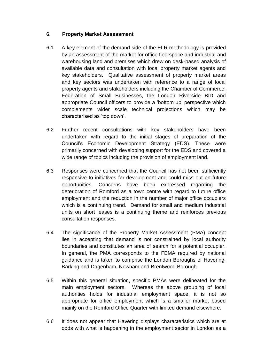#### **6. Property Market Assessment**

- 6.1 A key element of the demand side of the ELR methodology is provided by an assessment of the market for office floorspace and industrial and warehousing land and premises which drew on desk-based analysis of available data and consultation with local property market agents and key stakeholders. Qualitative assessment of property market areas and key sectors was undertaken with reference to a range of local property agents and stakeholders including the Chamber of Commerce, Federation of Small Businesses, the London Riverside BID and appropriate Council officers to provide a 'bottom up' perspective which complements wider scale technical projections which may be characterised as 'top down'.
- 6.2 Further recent consultations with key stakeholders have been undertaken with regard to the initial stages of preparation of the Council's Economic Development Strategy (EDS). These were primarily concerned with developing support for the EDS and covered a wide range of topics including the provision of employment land.
- 6.3 Responses were concerned that the Council has not been sufficiently responsive to initiatives for development and could miss out on future opportunities. Concerns have been expressed regarding the deterioration of Romford as a town centre with regard to future office employment and the reduction in the number of major office occupiers which is a continuing trend. Demand for small and medium industrial units on short leases is a continuing theme and reinforces previous consultation responses.
- 6.4 The significance of the Property Market Assessment (PMA) concept lies in accepting that demand is not constrained by local authority boundaries and constitutes an area of search for a potential occupier. In general, the PMA corresponds to the FEMA required by national guidance and is taken to comprise the London Boroughs of Havering, Barking and Dagenham, Newham and Brentwood Borough.
- 6.5 Within this general situation, specific PMAs were delineated for the main employment sectors. Whereas the above grouping of local authorities holds for industrial employment space, it is not so appropriate for office employment which is a smaller market based mainly on the Romford Office Quarter with limited demand elsewhere.
- 6.6 It does not appear that Havering displays characteristics which are at odds with what is happening in the employment sector in London as a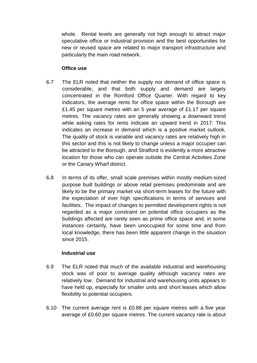whole. Rental levels are generally not high enough to attract major speculative office or industrial provision and the best opportunities for new or reused space are related to major transport infrastructure and particularly the main road network.

#### **Office use**

- 6.7 The ELR noted that neither the supply nor demand of office space is considerable, and that both supply and demand are largely concentrated in the Romford Office Quarter. With regard to key indicators, the average rents for office space within the Borough are £1.45 per square metres with an 5 year average of £1.17 per square metres. The vacancy rates are generally showing a downward trend while asking rates for rents indicate an upward trend in 2017. This indicates an increase in demand which is a positive market outlook. The quality of stock is variable and vacancy rates are relatively high in this sector and this is not likely to change unless a major occupier can be attracted to the Borough, and Stratford is evidently a more attractive location for those who can operate outside the Central Activities Zone or the Canary Wharf district.
- 6.8 In terms of its offer, small scale premises within mostly medium-sized purpose built buildings or above retail premises predominate and are likely to be the primary market via short-term leases for the future with the expectation of ever high specifications in terms of services and facilities. The impact of changes to permitted development rights is not regarded as a major constraint on potential office occupiers as the buildings affected are rarely seen as prime office space and, in some instances certainly, have been unoccupied for some time and from local knowledge, there has been little apparent change in the situation since 2015.

#### **Industrial use**

- 6.9 The ELR noted that much of the available industrial and warehousing stock was of poor to average quality although vacancy rates are relatively low. Demand for industrial and warehousing units appears to have held up, especially for smaller units and short leases which allow flexibility to potential occupiers.
- 6.10 The current average rent is £0.88 per square metres with a five year average of £0.60 per square metres. The current vacancy rate is about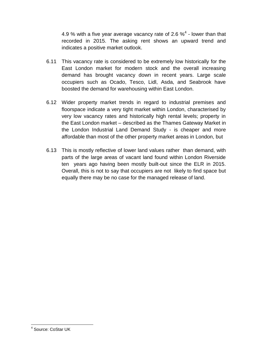4.9 % with a five year average vacancy rate of 2.6  $\%^4$  - lower than that recorded in 2015. The asking rent shows an upward trend and indicates a positive market outlook.

- 6.11 This vacancy rate is considered to be extremely low historically for the East London market for modern stock and the overall increasing demand has brought vacancy down in recent years. Large scale occupiers such as Ocado, Tesco, Lidl, Asda, and Seabrook have boosted the demand for warehousing within East London.
- 6.12 Wider property market trends in regard to industrial premises and floorspace indicate a very tight market within London, characterised by very low vacancy rates and historically high rental levels; property in the East London market – described as the Thames Gateway Market in the London Industrial Land Demand Study - is cheaper and more affordable than most of the other property market areas in London, but
- 6.13 This is mostly reflective of lower land values rather than demand, with parts of the large areas of vacant land found within London Riverside ten years ago having been mostly built-out since the ELR in 2015. Overall, this is not to say that occupiers are not likely to find space but equally there may be no case for the managed release of land.

 4 Source: CoStar UK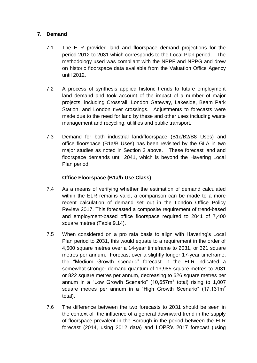#### **7. Demand**

- 7.1 The ELR provided land and floorspace demand projections for the period 2012 to 2031 which corresponds to the Local Plan period. The methodology used was compliant with the NPPF and NPPG and drew on historic floorspace data available from the Valuation Office Agency until 2012.
- 7.2 A process of synthesis applied historic trends to future employment land demand and took account of the impact of a number of major projects, including Crossrail, London Gateway, Lakeside, Beam Park Station, and London river crossings. Adjustments to forecasts were made due to the need for land by these and other uses including waste management and recycling, utilities and public transport.
- 7.3 Demand for both industrial land/floorspace (B1c/B2/B8 Uses) and office floorspace (B1a/B Uses) has been revisited by the GLA in two major studies as noted in Section 3 above. These forecast land and floorspace demands until 2041, which is beyond the Havering Local Plan period.

#### **Office Floorspace (B1a/b Use Class)**

- 7.4 As a means of verifying whether the estimation of demand calculated within the ELR remains valid, a comparison can be made to a more recent calculation of demand set out in the London Office Policy Review 2017. This forecasted a composite requirement of trend-based and employment-based office floorspace required to 2041 of 7,400 square metres (Table 9.14).
- 7.5 When considered on a pro rata basis to align with Havering's Local Plan period to 2031, this would equate to a requirement in the order of 4,500 square metres over a 14-year timeframe to 2031, or 321 square metres per annum. Forecast over a slightly longer 17-year timeframe, the "Medium Growth scenario" forecast in the ELR indicated a somewhat stronger demand quantum of 13,985 square metres to 2031 or 822 square metres per annum, decreasing to 626 square metres per annum in a "Low Growth Scenario" (10,657 $m^2$  total) rising to 1,007 square metres per annum in a "High Growth Scenario" (17,131m<sup>2</sup> total).
- 7.6 The difference between the two forecasts to 2031 should be seen in the context of the influence of a general downward trend in the supply of floorspace prevalent in the Borough in the period between the ELR forecast (2014, using 2012 data) and LOPR's 2017 forecast (using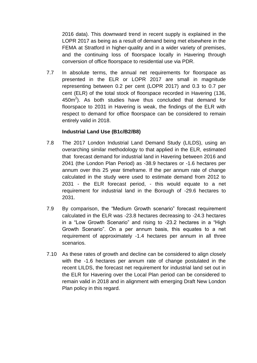2016 data). This downward trend in recent supply is explained in the LOPR 2017 as being as a result of demand being met elsewhere in the FEMA at Stratford in higher-quality and in a wider variety of premises, and the continuing loss of floorspace locally in Havering through conversion of office floorspace to residential use via PDR.

7.7 In absolute terms, the annual net requirements for floorspace as presented in the ELR or LOPR 2017 are small in magnitude representing between 0.2 per cent (LOPR 2017) and 0.3 to 0.7 per cent (ELR) of the total stock of floorspace recorded in Havering (136,  $450m<sup>2</sup>$ ). As both studies have thus concluded that demand for floorspace to 2031 in Havering is weak, the findings of the ELR with respect to demand for office floorspace can be considered to remain entirely valid in 2018.

#### **Industrial Land Use (B1c/B2/B8)**

- 7.8 The 2017 London Industrial Land Demand Study (LILDS), using an overarching similar methodology to that applied in the ELR, estimated that forecast demand for industrial land in Havering between 2016 and 2041 (the London Plan Period) as -38.9 hectares or -1.6 hectares per annum over this 25 year timeframe. If the per annum rate of change calculated in the study were used to estimate demand from 2012 to 2031 - the ELR forecast period, - this would equate to a net requirement for industrial land in the Borough of -29.6 hectares to 2031.
- 7.9 By comparison, the "Medium Growth scenario" forecast requirement calculated in the ELR was -23.8 hectares decreasing to -24.3 hectares in a "Low Growth Scenario" and rising to -23.2 hectares in a "High Growth Scenario". On a per annum basis, this equates to a net requirement of approximately -1.4 hectares per annum in all three scenarios.
- 7.10 As these rates of growth and decline can be considered to align closely with the -1.6 hectares per annum rate of change postulated in the recent LILDS, the forecast net requirement for industrial land set out in the ELR for Havering over the Local Plan period can be considered to remain valid in 2018 and in alignment with emerging Draft New London Plan policy in this regard.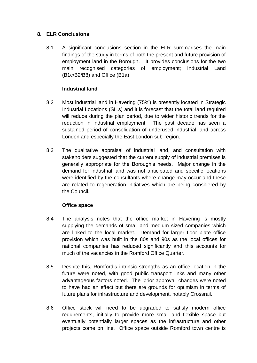### **8. ELR Conclusions**

8.1 A significant conclusions section in the ELR summarises the main findings of the study in terms of both the present and future provision of employment land in the Borough. It provides conclusions for the two main recognised categories of employment; Industrial Land (B1c/B2/B8) and Office (B1a)

## **Industrial land**

- 8.2 Most industrial land in Havering (75%) is presently located in Strategic Industrial Locations (SILs) and it is forecast that the total land required will reduce during the plan period, due to wider historic trends for the reduction in industrial employment. The past decade has seen a sustained period of consolidation of underused industrial land across London and especially the East London sub-region.
- 8.3 The qualitative appraisal of industrial land, and consultation with stakeholders suggested that the current supply of industrial premises is generally appropriate for the Borough's needs. Major change in the demand for industrial land was not anticipated and specific locations were identified by the consultants where change may occur and these are related to regeneration initiatives which are being considered by the Council.

#### **Office space**

- 8.4 The analysis notes that the office market in Havering is mostly supplying the demands of small and medium sized companies which are linked to the local market. Demand for larger floor plate office provision which was built in the 80s and 90s as the local offices for national companies has reduced significantly and this accounts for much of the vacancies in the Romford Office Quarter.
- 8.5 Despite this, Romford's intrinsic strengths as an office location in the future were noted, with good public transport links and many other advantageous factors noted. The 'prior approval' changes were noted to have had an effect but there are grounds for optimism in terms of future plans for infrastructure and development, notably Crossrail.
- 8.6 Office stock will need to be upgraded to satisfy modern office requirements, initially to provide more small and flexible space but eventually potentially larger spaces as the infrastructure and other projects come on line. Office space outside Romford town centre is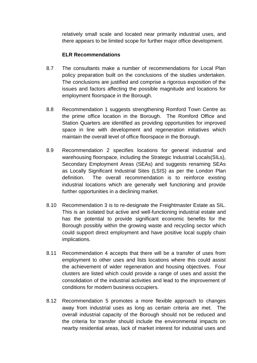relatively small scale and located near primarily industrial uses, and there appears to be limited scope for further major office development.

#### **ELR Recommendations**

- 8.7 The consultants make a number of recommendations for Local Plan policy preparation built on the conclusions of the studies undertaken. The conclusions are justified and comprise a rigorous exposition of the issues and factors affecting the possible magnitude and locations for employment floorspace in the Borough.
- 8.8 Recommendation 1 suggests strengthening Romford Town Centre as the prime office location in the Borough. The Romford Office and Station Quarters are identified as providing opportunities for improved space in line with development and regeneration initiatives which maintain the overall level of office floorspace in the Borough.
- 8.9 Recommendation 2 specifies locations for general industrial and warehousing floorspace, including the Strategic Industrial Locals(SILs), Secondary Employment Areas (SEAs) and suggests renaming SEAs as Locally Significant Industrial Sites (LSIS) as per the London Plan definition. The overall recommendation is to reinforce existing industrial locations which are generally well functioning and provide further opportunities in a declining market.
- 8.10 Recommendation 3 is to re-designate the Freightmaster Estate as SIL. This is an isolated but active and well-functioning industrial estate and has the potential to provide significant economic benefits for the Borough possibly within the growing waste and recycling sector which could support direct employment and have positive local supply chain implications.
- 8.11 Recommendation 4 accepts that there will be a transfer of uses from employment to other uses and lists locations where this could assist the achievement of wider regeneration and housing objectives. Four clusters are listed which could provide a range of uses and assist the consolidation of the industrial activities and lead to the improvement of conditions for modern business occupiers.
- 8.12 Recommendation 5 promotes a more flexible approach to changes away from industrial uses as long as certain criteria are met. The overall industrial capacity of the Borough should not be reduced and the criteria for transfer should include the environmental impacts on nearby residential areas, lack of market interest for industrial uses and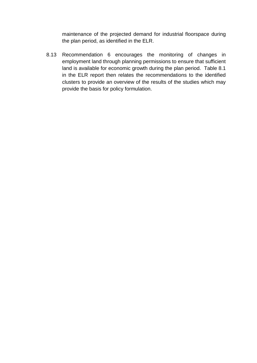maintenance of the projected demand for industrial floorspace during the plan period, as identified in the ELR.

8.13 Recommendation 6 encourages the monitoring of changes in employment land through planning permissions to ensure that sufficient land is available for economic growth during the plan period. Table 8.1 in the ELR report then relates the recommendations to the identified clusters to provide an overview of the results of the studies which may provide the basis for policy formulation.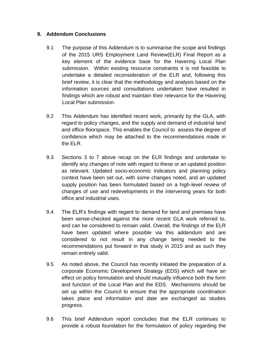#### **9. Addendum Conclusions**

- 9.1 The purpose of this Addendum is to summarise the scope and findings of the 2015 URS Employment Land Review(ELR) Final Report as a key element of the evidence base for the Havering Local Plan submission. Within existing resource constraints it is not feasible to undertake a detailed reconsideration of the ELR and, following this brief review, it is clear that the methodology and analysis based on the information sources and consultations undertaken have resulted in findings which are robust and maintain their relevance for the Havering Local Plan submission.
- 9.2 This Addendum has identified recent work, primarily by the GLA, with regard to policy changes, and the supply and demand of industrial land and office floorspace. This enables the Council to assess the degree of confidence which may be attached to the recommendations made in the ELR.
- 9.3 Sections 3 to 7 above recap on the ELR findings and undertake to identify any changes of note with regard to these or an updated position as relevant. Updated socio-economic indicators and planning policy context have been set out, with some changes noted, and an updated supply position has been formulated based on a high-level review of changes of use and redevelopments in the intervening years for both office and industrial uses.
- 9.4 The ELR's findings with regard to demand for land and premises have been sense-checked against the more recent GLA work referred to, and can be considered to remain valid. Overall, the findings of the ELR have been updated where possible via this addendum and are considered to not result in any change being needed to the recommendations put forward in that study in 2015 and as such they remain entirely valid.
- 9.5 As noted above, the Council has recently initiated the preparation of a corporate Economic Development Strategy (EDS) which will have an effect on policy formulation and should mutually influence both the form and function of the Local Plan and the EDS. Mechanisms should be set up within the Council to ensure that the appropriate coordination takes place and information and date are exchanged as studies progress.
- 9.6 This brief Addendum report concludes that the ELR continues to provide a robust foundation for the formulation of policy regarding the